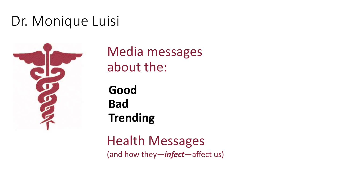### Dr. Monique Luisi



Media messages about the:

**Good Bad Trending** 

Health Messages (and how they—*infect*—affect us)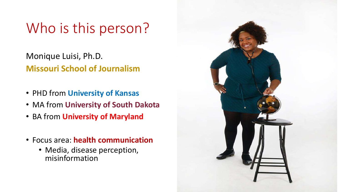### Who is this person?

Monique Luisi, Ph.D. **Missouri School of Journalism**

- PHD from **University of Kansas**
- MA from **University of South Dakota**
- BA from **University of Maryland**
- Focus area: **health communication**
	- Media, disease perception, misinformation

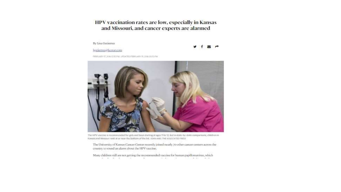HPV vaccination rates are low, especially in Kansas and Missouri, and cancer experts are alarmed

#### By Lisa Gutierrez

lgutierrez@kcstar.com

FEBRUARY 17, 2016 13:50 PM, UPDATED FEBRUARY 19, 2016 09:33 PM.



The HPV vaccine is recommended for girls and boys starting at ages 11 to 12. But in state-by-state comparisons, children in Kansas and Missouri rank at or near the bottom of the list, IGHN ANIS THE ASSOCIATED PRESS

The University of Kansas Cancer Center recently joined nearly 70 other cancer centers across the country to sound an alarm about the HPV vaccine.

Many children still are not getting the recommended vaccine for human papillomavirus, which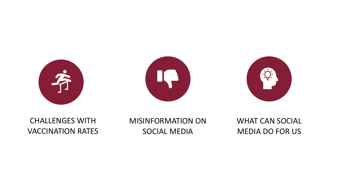





#### CHALLENGES WITH VACCINATION RATES

MISINFORMATION ON SOCIAL MEDIA

WHAT CAN SOCIAL MEDIA DO FOR US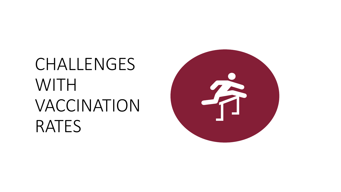## CHALLENGES WITH VACCINATION RATES

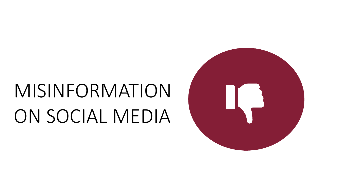# MISINFORMATION ON SOCIAL MEDIA

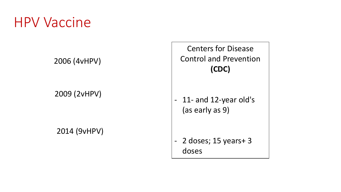#### HPV Vaccine

2006 (4vHPV)

2009 (2vHPV)

2014 (9vHPV)

Centers for Disease Control and Prevention **(CDC)**

- 11- and 12-year old's (as early as 9)

- 2 doses; 15 years+ 3 doses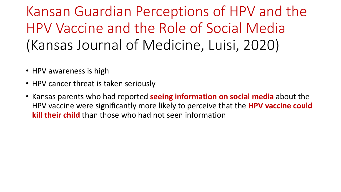Kansan Guardian Perceptions of HPV and the HPV Vaccine and the Role of Social Media (Kansas Journal of Medicine, Luisi, 2020)

- HPV awareness is high
- HPV cancer threat is taken seriously
- Kansas parents who had reported **seeing information on social media** about the HPV vaccine were significantly more likely to perceive that the **HPV vaccine could kill their child** than those who had not seen information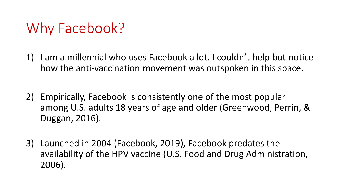### Why Facebook?

- 1) I am a millennial who uses Facebook a lot. I couldn't help but notice how the anti-vaccination movement was outspoken in this space.
- 2) Empirically, Facebook is consistently one of the most popular among U.S. adults 18 years of age and older (Greenwood, Perrin, & Duggan, 2016).
- 3) Launched in 2004 (Facebook, 2019), Facebook predates the availability of the HPV vaccine (U.S. Food and Drug Administration, 2006).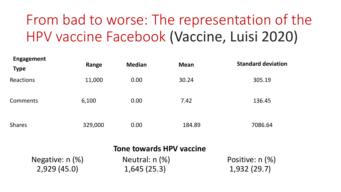## From bad to worse: The representation of the HPV vaccine Facebook (Vaccine, Luisi 2020)

| <b>Engagement</b><br><b>Type</b> | Range   | <b>Median</b> | <b>Mean</b> | <b>Standard deviation</b> |
|----------------------------------|---------|---------------|-------------|---------------------------|
| Reactions                        | 11,000  | 0.00          | 30.24       | 305.19                    |
| Comments                         | 6,100   | 0.00          | 7.42        | 136.45                    |
| <b>Shares</b>                    | 329,000 | 0.00          | 184.89      | 7086.64                   |

| <b>Tone towards HPV vaccine</b> |                    |                 |  |  |  |
|---------------------------------|--------------------|-----------------|--|--|--|
| Negative: n (%)                 | Neutral: $n$ $%$ ) | Positive: n (%) |  |  |  |
| 2,929(45.0)                     | 1,645(25.3)        | 1,932(29.7)     |  |  |  |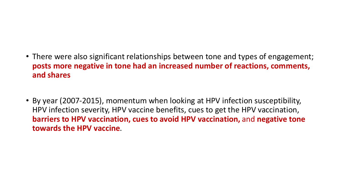#### • There were also significant relationships between tone and types of engagement; **posts more negative in tone had an increased number of reactions, comments, and shares**

• By year (2007-2015), momentum when looking at HPV infection susceptibility, HPV infection severity, HPV vaccine benefits, cues to get the HPV vaccination, **barriers to HPV vaccination, cues to avoid HPV vaccination,** and **negative tone towards the HPV vaccine**.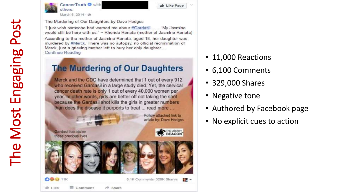



The Murdering of Our Daughters by Dave Hodges

"I just wish someone had warned me about #Gardasil....... My Jasmine would still be here with us." ~ Rhonda Renata (mother of Jasmine Renata)

**July** Like Page

According to the mother of Jasmine Renata, aged 18, her daughter was murdered by #Merck. There was no autopsy, no official recrimination of Merck, just a grieving mother left to bury her only daughter.... Continue Reading

#### **The Murdering of Our Daughters**

Merck and the CDC have determined that 1 out of every 912 who received Gardasil in a large study died. Yet, the cervical cancer death rate is only 1 out of every 40,000 women per year. In other words, girls are better off not taking the shot because the Gardasil shot kills the girls in greater numbers than does the disease it purports to treat ... read more ...



- 11,000 Reactions
- 6,100 Comments
- 329,000 Shares
- Negative tone
- Authored by Facebook page
- No explicit cues to action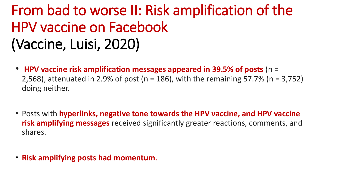## From bad to worse II: Risk amplification of the HPV vaccine on Facebook (Vaccine, Luisi, 2020)

- **HPV vaccine risk amplification messages appeared in 39.5% of posts** (n = 2,568), attenuated in 2.9% of post (n = 186), with the remaining 57.7% (n = 3,752) doing neither.
- Posts with **hyperlinks, negative tone towards the HPV vaccine, and HPV vaccine risk amplifying messages** received significantly greater reactions, comments, and shares.
- **Risk amplifying posts had momentum**.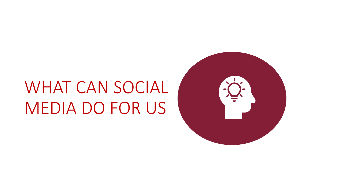## WHAT CAN SOCIAL MEDIA DO FOR US